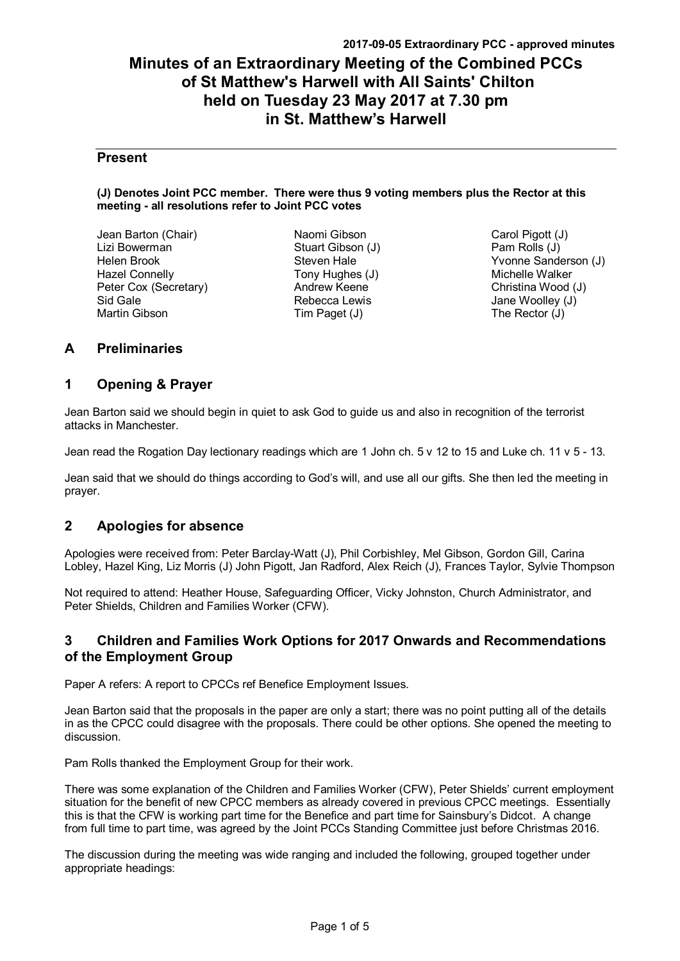# **Minutes of an Extraordinary Meeting of the Combined PCCs of St Matthew's Harwell with All Saints' Chilton held on Tuesday 23 May 2017 at 7.30 pm in St. Matthew's Harwell**

## **Present**

### **(J) Denotes Joint PCC member. There were thus 9 voting members plus the Rector at this meeting - all resolutions refer to Joint PCC votes**

Jean Barton (Chair) Lizi Bowerman Helen Brook Hazel Connelly Peter Cox (Secretary) Sid Gale Martin Gibson

Naomi Gibson Stuart Gibson (J) Steven Hale Tony Hughes (J) Andrew Keene Rebecca Lewis Tim Paget (J)

Carol Pigott (J) Pam Rolls (J) Yvonne Sanderson (J) Michelle Walker Christina Wood (J) Jane Woolley (J) The Rector (J)

## **A Preliminaries**

## **1 Opening & Prayer**

Jean Barton said we should begin in quiet to ask God to guide us and also in recognition of the terrorist attacks in Manchester.

Jean read the Rogation Day lectionary readings which are 1 John ch. 5 v 12 to 15 and Luke ch. 11 v 5 - 13.

Jean said that we should do things according to God's will, and use all our gifts. She then led the meeting in prayer.

## **2 Apologies for absence**

Apologies were received from: Peter Barclay-Watt (J), Phil Corbishley, Mel Gibson, Gordon Gill, Carina Lobley, Hazel King, Liz Morris (J) John Pigott, Jan Radford, Alex Reich (J), Frances Taylor, Sylvie Thompson

Not required to attend: Heather House, Safeguarding Officer, Vicky Johnston, Church Administrator, and Peter Shields, Children and Families Worker (CFW).

## **3 Children and Families Work Options for 2017 Onwards and Recommendations of the Employment Group**

Paper A refers: A report to CPCCs ref Benefice Employment Issues.

Jean Barton said that the proposals in the paper are only a start; there was no point putting all of the details in as the CPCC could disagree with the proposals. There could be other options. She opened the meeting to discussion.

Pam Rolls thanked the Employment Group for their work.

There was some explanation of the Children and Families Worker (CFW), Peter Shields' current employment situation for the benefit of new CPCC members as already covered in previous CPCC meetings. Essentially this is that the CFW is working part time for the Benefice and part time for Sainsbury's Didcot. A change from full time to part time, was agreed by the Joint PCCs Standing Committee just before Christmas 2016.

The discussion during the meeting was wide ranging and included the following, grouped together under appropriate headings: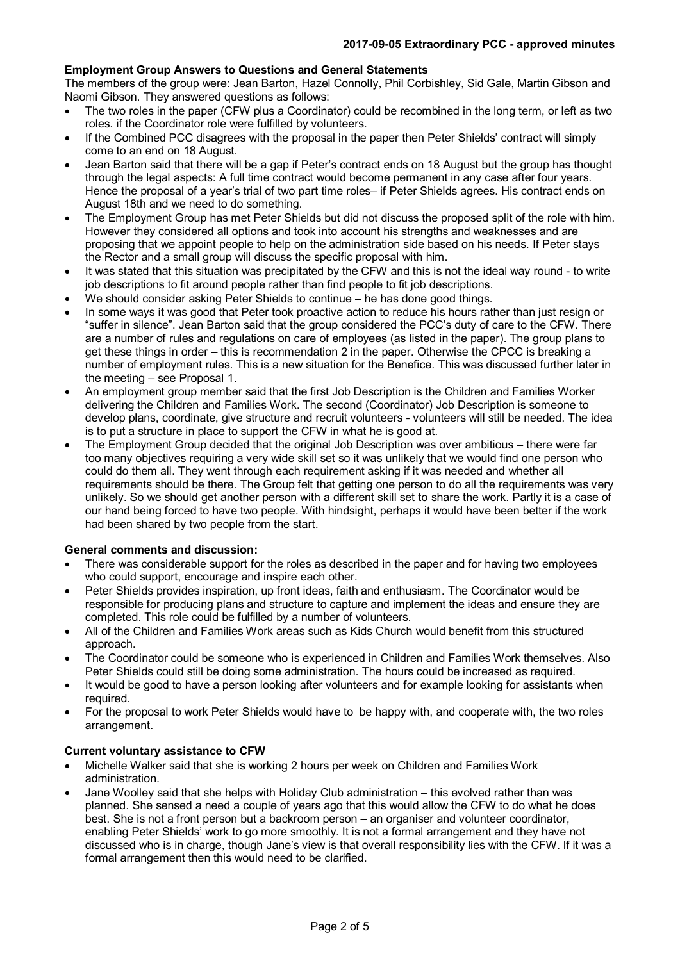## **Employment Group Answers to Questions and General Statements**

The members of the group were: Jean Barton, Hazel Connolly, Phil Corbishley, Sid Gale, Martin Gibson and Naomi Gibson. They answered questions as follows:

- The two roles in the paper (CFW plus a Coordinator) could be recombined in the long term, or left as two roles. if the Coordinator role were fulfilled by volunteers.
- If the Combined PCC disagrees with the proposal in the paper then Peter Shields' contract will simply come to an end on 18 August.
- Jean Barton said that there will be a gap if Peter's contract ends on 18 August but the group has thought through the legal aspects: A full time contract would become permanent in any case after four years. Hence the proposal of a year's trial of two part time roles– if Peter Shields agrees. His contract ends on August 18th and we need to do something.
- The Employment Group has met Peter Shields but did not discuss the proposed split of the role with him. However they considered all options and took into account his strengths and weaknesses and are proposing that we appoint people to help on the administration side based on his needs. If Peter stays the Rector and a small group will discuss the specific proposal with him.
- It was stated that this situation was precipitated by the CFW and this is not the ideal way round to write job descriptions to fit around people rather than find people to fit job descriptions.
- We should consider asking Peter Shields to continue he has done good things.
- In some ways it was good that Peter took proactive action to reduce his hours rather than just resign or "suffer in silence". Jean Barton said that the group considered the PCC's duty of care to the CFW. There are a number of rules and regulations on care of employees (as listed in the paper). The group plans to get these things in order – this is recommendation 2 in the paper. Otherwise the CPCC is breaking a number of employment rules. This is a new situation for the Benefice. This was discussed further later in the meeting – see Proposal 1.
- An employment group member said that the first Job Description is the Children and Families Worker delivering the Children and Families Work. The second (Coordinator) Job Description is someone to develop plans, coordinate, give structure and recruit volunteers - volunteers will still be needed. The idea is to put a structure in place to support the CFW in what he is good at.
- The Employment Group decided that the original Job Description was over ambitious there were far too many objectives requiring a very wide skill set so it was unlikely that we would find one person who could do them all. They went through each requirement asking if it was needed and whether all requirements should be there. The Group felt that getting one person to do all the requirements was very unlikely. So we should get another person with a different skill set to share the work. Partly it is a case of our hand being forced to have two people. With hindsight, perhaps it would have been better if the work had been shared by two people from the start.

## **General comments and discussion:**

- There was considerable support for the roles as described in the paper and for having two employees who could support, encourage and inspire each other.
- Peter Shields provides inspiration, up front ideas, faith and enthusiasm. The Coordinator would be responsible for producing plans and structure to capture and implement the ideas and ensure they are completed. This role could be fulfilled by a number of volunteers.
- All of the Children and Families Work areas such as Kids Church would benefit from this structured approach.
- The Coordinator could be someone who is experienced in Children and Families Work themselves. Also Peter Shields could still be doing some administration. The hours could be increased as required.
- It would be good to have a person looking after volunteers and for example looking for assistants when required.
- For the proposal to work Peter Shields would have to be happy with, and cooperate with, the two roles arrangement.

#### **Current voluntary assistance to CFW**

- Michelle Walker said that she is working 2 hours per week on Children and Families Work administration.
- Jane Woolley said that she helps with Holiday Club administration this evolved rather than was planned. She sensed a need a couple of years ago that this would allow the CFW to do what he does best. She is not a front person but a backroom person – an organiser and volunteer coordinator, enabling Peter Shields' work to go more smoothly. It is not a formal arrangement and they have not discussed who is in charge, though Jane's view is that overall responsibility lies with the CFW. If it was a formal arrangement then this would need to be clarified.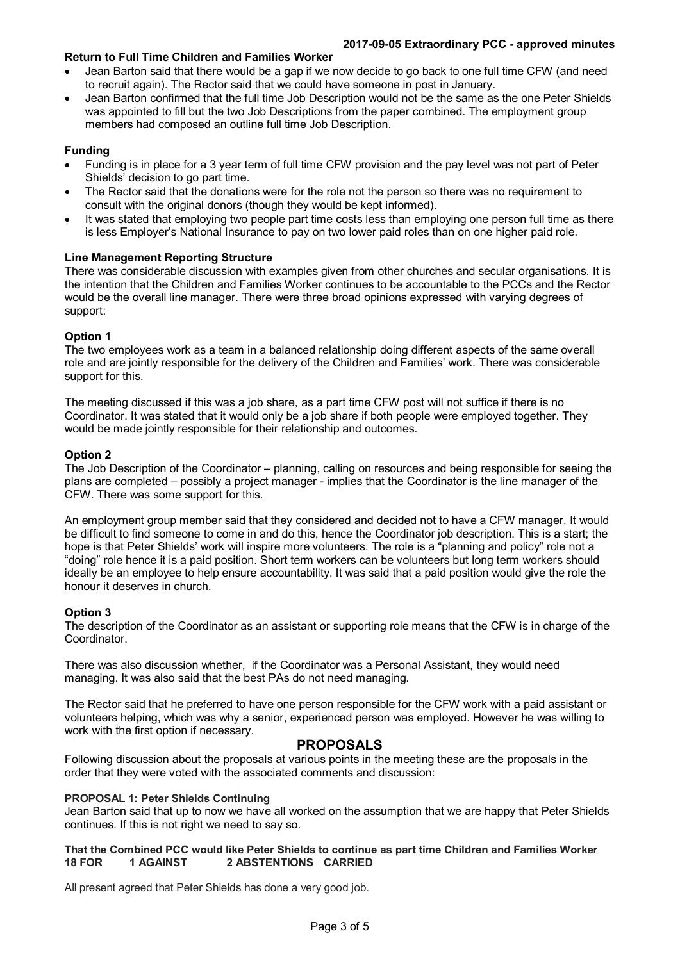#### **2017-09-05 Extraordinary PCC - approved minutes**

## **Return to Full Time Children and Families Worker**

- Jean Barton said that there would be a gap if we now decide to go back to one full time CFW (and need to recruit again). The Rector said that we could have someone in post in January.
- Jean Barton confirmed that the full time Job Description would not be the same as the one Peter Shields was appointed to fill but the two Job Descriptions from the paper combined. The employment group members had composed an outline full time Job Description.

## **Funding**

- Funding is in place for a 3 year term of full time CFW provision and the pay level was not part of Peter Shields' decision to go part time.
- The Rector said that the donations were for the role not the person so there was no requirement to consult with the original donors (though they would be kept informed).
- It was stated that employing two people part time costs less than employing one person full time as there is less Employer's National Insurance to pay on two lower paid roles than on one higher paid role.

### **Line Management Reporting Structure**

There was considerable discussion with examples given from other churches and secular organisations. It is the intention that the Children and Families Worker continues to be accountable to the PCCs and the Rector would be the overall line manager. There were three broad opinions expressed with varying degrees of support:

### **Option 1**

The two employees work as a team in a balanced relationship doing different aspects of the same overall role and are jointly responsible for the delivery of the Children and Families' work. There was considerable support for this.

The meeting discussed if this was a job share, as a part time CFW post will not suffice if there is no Coordinator. It was stated that it would only be a job share if both people were employed together. They would be made jointly responsible for their relationship and outcomes.

### **Option 2**

The Job Description of the Coordinator – planning, calling on resources and being responsible for seeing the plans are completed – possibly a project manager - implies that the Coordinator is the line manager of the CFW. There was some support for this.

An employment group member said that they considered and decided not to have a CFW manager. It would be difficult to find someone to come in and do this, hence the Coordinator job description. This is a start; the hope is that Peter Shields' work will inspire more volunteers. The role is a "planning and policy" role not a "doing" role hence it is a paid position. Short term workers can be volunteers but long term workers should ideally be an employee to help ensure accountability. It was said that a paid position would give the role the honour it deserves in church.

#### **Option 3**

The description of the Coordinator as an assistant or supporting role means that the CFW is in charge of the Coordinator.

There was also discussion whether, if the Coordinator was a Personal Assistant, they would need managing. It was also said that the best PAs do not need managing.

The Rector said that he preferred to have one person responsible for the CFW work with a paid assistant or volunteers helping, which was why a senior, experienced person was employed. However he was willing to work with the first option if necessary.

## **PROPOSALS**

Following discussion about the proposals at various points in the meeting these are the proposals in the order that they were voted with the associated comments and discussion:

#### **PROPOSAL 1: Peter Shields Continuing**

Jean Barton said that up to now we have all worked on the assumption that we are happy that Peter Shields continues. If this is not right we need to say so.

#### **That the Combined PCC would like Peter Shields to continue as part time Children and Families Worker 18 FOR 1 AGAINST 2 ABSTENTIONS CARRIED**

All present agreed that Peter Shields has done a very good job.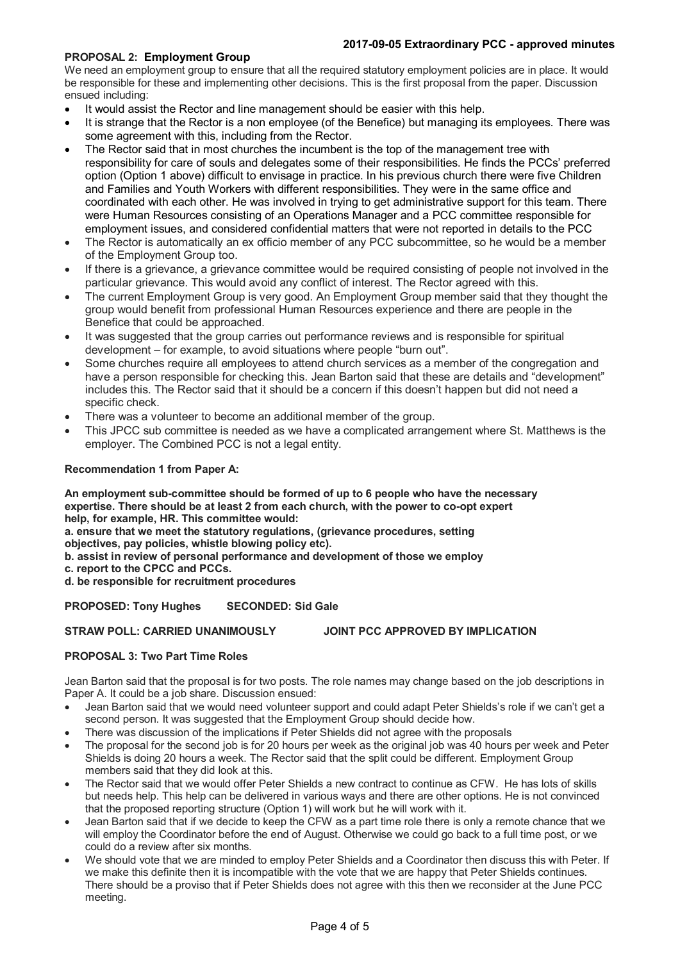## **2017-09-05 Extraordinary PCC - approved minutes**

## **PROPOSAL 2: Employment Group**

We need an employment group to ensure that all the required statutory employment policies are in place. It would be responsible for these and implementing other decisions. This is the first proposal from the paper. Discussion ensued including:

- It would assist the Rector and line management should be easier with this help.
- It is strange that the Rector is a non employee (of the Benefice) but managing its employees. There was some agreement with this, including from the Rector.
- The Rector said that in most churches the incumbent is the top of the management tree with responsibility for care of souls and delegates some of their responsibilities. He finds the PCCs' preferred option (Option 1 above) difficult to envisage in practice. In his previous church there were five Children and Families and Youth Workers with different responsibilities. They were in the same office and coordinated with each other. He was involved in trying to get administrative support for this team. There were Human Resources consisting of an Operations Manager and a PCC committee responsible for employment issues, and considered confidential matters that were not reported in details to the PCC
- The Rector is automatically an ex officio member of any PCC subcommittee, so he would be a member of the Employment Group too.
- If there is a grievance, a grievance committee would be required consisting of people not involved in the particular grievance. This would avoid any conflict of interest. The Rector agreed with this.
- The current Employment Group is very good. An Employment Group member said that they thought the group would benefit from professional Human Resources experience and there are people in the Benefice that could be approached.
- It was suggested that the group carries out performance reviews and is responsible for spiritual development – for example, to avoid situations where people "burn out".
- Some churches require all employees to attend church services as a member of the congregation and have a person responsible for checking this. Jean Barton said that these are details and "development" includes this. The Rector said that it should be a concern if this doesn't happen but did not need a specific check.
- There was a volunteer to become an additional member of the group.
- This JPCC sub committee is needed as we have a complicated arrangement where St. Matthews is the employer. The Combined PCC is not a legal entity.

### **Recommendation 1 from Paper A:**

**An employment sub-committee should be formed of up to 6 people who have the necessary expertise. There should be at least 2 from each church, with the power to co-opt expert help, for example, HR. This committee would:**

**a. ensure that we meet the statutory regulations, (grievance procedures, setting objectives, pay policies, whistle blowing policy etc).**

**b. assist in review of personal performance and development of those we employ**

- **c. report to the CPCC and PCCs.**
- **d. be responsible for recruitment procedures**

**PROPOSED: Tony Hughes SECONDED: Sid Gale**

**STRAW POLL: CARRIED UNANIMOUSLY JOINT PCC APPROVED BY IMPLICATION**

#### **PROPOSAL 3: Two Part Time Roles**

Jean Barton said that the proposal is for two posts. The role names may change based on the job descriptions in Paper A. It could be a job share. Discussion ensued:

- Jean Barton said that we would need volunteer support and could adapt Peter Shields's role if we can't get a second person. It was suggested that the Employment Group should decide how.
- There was discussion of the implications if Peter Shields did not agree with the proposals
- The proposal for the second job is for 20 hours per week as the original job was 40 hours per week and Peter Shields is doing 20 hours a week. The Rector said that the split could be different. Employment Group members said that they did look at this.
- The Rector said that we would offer Peter Shields a new contract to continue as CFW. He has lots of skills but needs help. This help can be delivered in various ways and there are other options. He is not convinced that the proposed reporting structure (Option 1) will work but he will work with it.
- Jean Barton said that if we decide to keep the CFW as a part time role there is only a remote chance that we will employ the Coordinator before the end of August. Otherwise we could go back to a full time post, or we could do a review after six months.
- We should vote that we are minded to employ Peter Shields and a Coordinator then discuss this with Peter. If we make this definite then it is incompatible with the vote that we are happy that Peter Shields continues. There should be a proviso that if Peter Shields does not agree with this then we reconsider at the June PCC meeting.